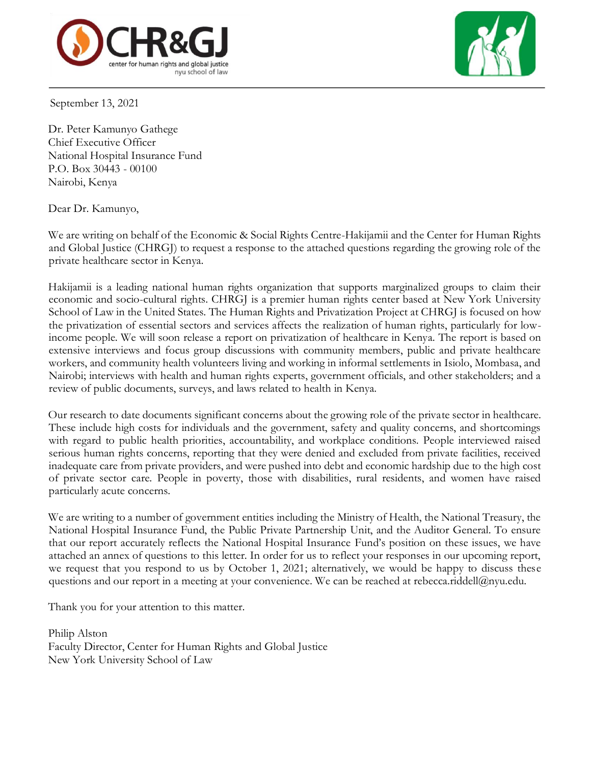



September 13, 2021

Dr. Peter Kamunyo Gathege Chief Executive Officer National Hospital Insurance Fund P.O. Box 30443 - 00100 Nairobi, Kenya

Dear Dr. Kamunyo,

We are writing on behalf of the Economic & Social Rights Centre-Hakijamii and the Center for Human Rights and Global Justice (CHRGJ) to request a response to the attached questions regarding the growing role of the private healthcare sector in Kenya.

Hakijamii is a leading national human rights organization that supports marginalized groups to claim their economic and socio-cultural rights. CHRGJ is a premier human rights center based at New York University School of Law in the United States. The Human Rights and Privatization Project at CHRGJ is focused on how the privatization of essential sectors and services affects the realization of human rights, particularly for lowincome people. We will soon release a report on privatization of healthcare in Kenya. The report is based on extensive interviews and focus group discussions with community members, public and private healthcare workers, and community health volunteers living and working in informal settlements in Isiolo, Mombasa, and Nairobi; interviews with health and human rights experts, government officials, and other stakeholders; and a review of public documents, surveys, and laws related to health in Kenya.

Our research to date documents significant concerns about the growing role of the private sector in healthcare. These include high costs for individuals and the government, safety and quality concerns, and shortcomings with regard to public health priorities, accountability, and workplace conditions. People interviewed raised serious human rights concerns, reporting that they were denied and excluded from private facilities, received inadequate care from private providers, and were pushed into debt and economic hardship due to the high cost of private sector care. People in poverty, those with disabilities, rural residents, and women have raised particularly acute concerns.

We are writing to a number of government entities including the Ministry of Health, the National Treasury, the National Hospital Insurance Fund, the Public Private Partnership Unit, and the Auditor General. To ensure that our report accurately reflects the National Hospital Insurance Fund's position on these issues, we have attached an annex of questions to this letter. In order for us to reflect your responses in our upcoming report, we request that you respond to us by October 1, 2021; alternatively, we would be happy to discuss these questions and our report in a meeting at your convenience. We can be reached at rebecca.riddell@nyu.edu.

Thank you for your attention to this matter.

Philip Alston Faculty Director, Center for Human Rights and Global Justice New York University School of Law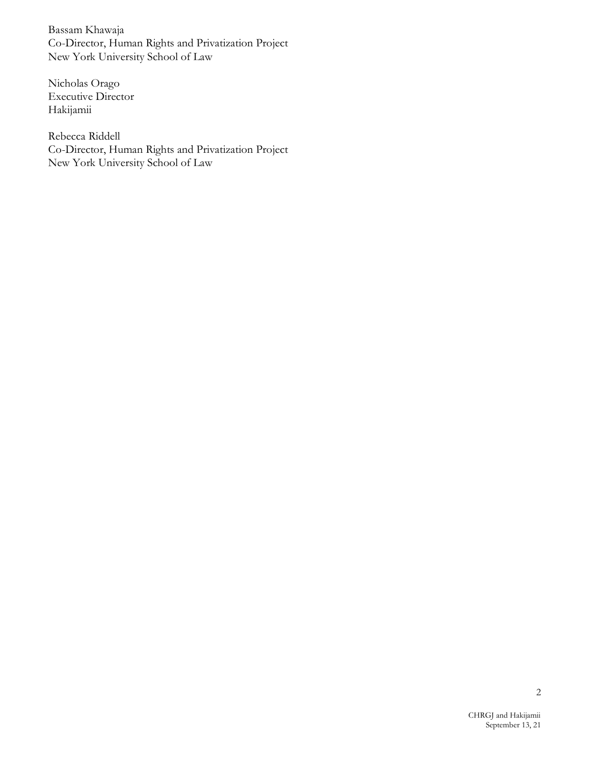Bassam Khawaja Co-Director, Human Rights and Privatization Project New York University School of Law

Nicholas Orago Executive Director Hakijamii

Rebecca Riddell Co-Director, Human Rights and Privatization Project New York University School of Law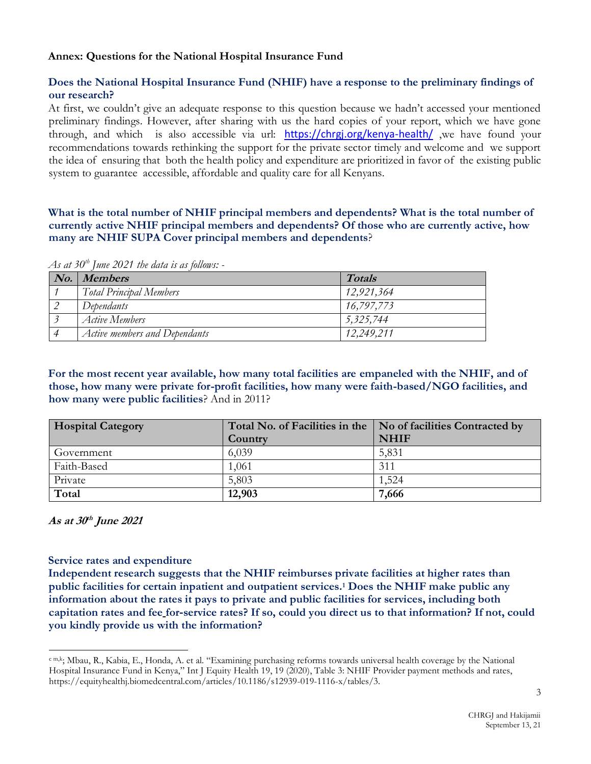## **Annex: Questions for the National Hospital Insurance Fund**

## **Does the National Hospital Insurance Fund (NHIF) have a response to the preliminary findings of our research?**

At first, we couldn't give an adequate response to this question because we hadn't accessed your mentioned preliminary findings. However, after sharing with us the hard copies of your report, which we have gone through, and which is also accessible via url: <https://chrgj.org/kenya-health/> ,we have found your recommendations towards rethinking the support for the private sector timely and welcome and we support the idea of ensuring that both the health policy and expenditure are prioritized in favor of the existing public system to guarantee accessible, affordable and quality care for all Kenyans.

**What is the total number of NHIF principal members and dependents? What is the total number of currently active NHIF principal members and dependents? Of those who are currently active, how many are NHIF SUPA Cover principal members and dependents**?

*As at 30th June 2021 the data is as follows: -*

| No. | <b>Members</b>                 | <b>Totals</b> |
|-----|--------------------------------|---------------|
|     | <b>Total Principal Members</b> | 12,921,364    |
|     | Dependants                     | 16,797,773    |
|     | Active Members                 | 5,325,744     |
|     | Active members and Dependants  | 12.249.211    |

**For the most recent year available, how many total facilities are empaneled with the NHIF, and of those, how many were private for-profit facilities, how many were faith-based/NGO facilities, and how many were public facilities**? And in 2011?

| <b>Hospital Category</b> | Country | Total No. of Facilities in the   No of facilities Contracted by<br><b>NHIF</b> |
|--------------------------|---------|--------------------------------------------------------------------------------|
| Government               | 6,039   | 5,831                                                                          |
| Faith-Based              | 1,061   | 311                                                                            |
| Private                  | 5,803   | 1,524                                                                          |
| Total                    | 12,903  | 7,666                                                                          |

**As at 30 th June 2021**

## **Service rates and expenditure**

**Independent research suggests that the NHIF reimburses private facilities at higher rates than public facilities for certain inpatient and outpatient services.<sup>1</sup> Does the NHIF make public any information about the rates it pays to private and public facilities for services, including both capitation rates and fee for**-**service rates? If so, could you direct us to that information? If not, could you kindly provide us with the information?** 

c m,k; Mbau, R., Kabia, E., Honda, A. et al. "Examining purchasing reforms towards universal health coverage by the National Hospital Insurance Fund in Kenya," Int J Equity Health 19, 19 (2020), Table 3: NHIF Provider payment methods and rates, https://equityhealthj.biomedcentral.com/articles/10.1186/s12939-019-1116-x/tables/3.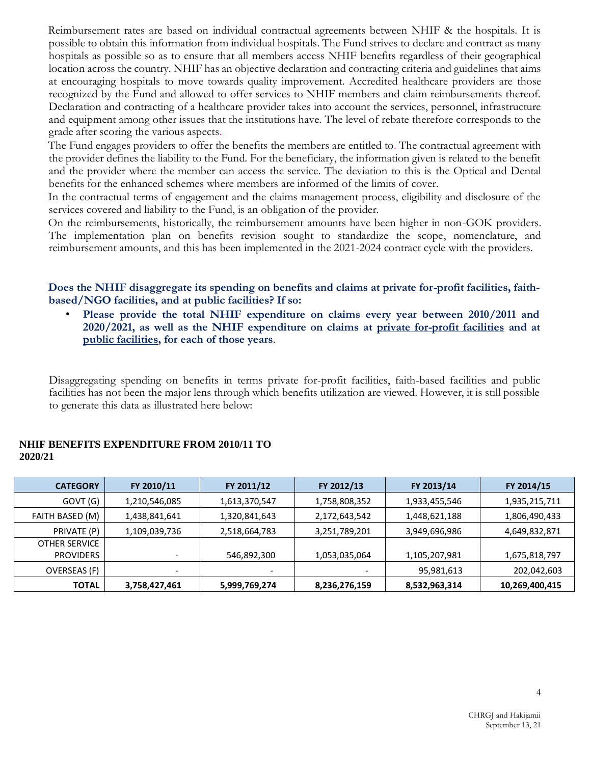Reimbursement rates are based on individual contractual agreements between NHIF & the hospitals. It is possible to obtain this information from individual hospitals. The Fund strives to declare and contract as many hospitals as possible so as to ensure that all members access NHIF benefits regardless of their geographical location across the country. NHIF has an objective declaration and contracting criteria and guidelines that aims at encouraging hospitals to move towards quality improvement. Accredited healthcare providers are those recognized by the Fund and allowed to offer services to NHIF members and claim reimbursements thereof. Declaration and contracting of a healthcare provider takes into account the services, personnel, infrastructure and equipment among other issues that the institutions have. The level of rebate therefore corresponds to the grade after scoring the various aspects.

The Fund engages providers to offer the benefits the members are entitled to. The contractual agreement with the provider defines the liability to the Fund. For the beneficiary, the information given is related to the benefit and the provider where the member can access the service. The deviation to this is the Optical and Dental benefits for the enhanced schemes where members are informed of the limits of cover.

In the contractual terms of engagement and the claims management process, eligibility and disclosure of the services covered and liability to the Fund, is an obligation of the provider.

On the reimbursements, historically, the reimbursement amounts have been higher in non-GOK providers. The implementation plan on benefits revision sought to standardize the scope, nomenclature, and reimbursement amounts, and this has been implemented in the 2021-2024 contract cycle with the providers.

**Does the NHIF disaggregate its spending on benefits and claims at private for-profit facilities, faithbased/NGO facilities, and at public facilities? If so:** 

• **Please provide the total NHIF expenditure on claims every year between 2010/2011 and 2020/2021, as well as the NHIF expenditure on claims at private for-profit facilities and at public facilities, for each of those years**.

Disaggregating spending on benefits in terms private for-profit facilities, faith-based facilities and public facilities has not been the major lens through which benefits utilization are viewed. However, it is still possible to generate this data as illustrated here below:

#### **NHIF BENEFITS EXPENDITURE FROM 2010/11 TO 2020/21**

| <b>CATEGORY</b>      | FY 2010/11               | FY 2011/12    | FY 2012/13    | FY 2013/14    | FY 2014/15     |
|----------------------|--------------------------|---------------|---------------|---------------|----------------|
| GOVT (G)             | 1,210,546,085            | 1,613,370,547 | 1,758,808,352 | 1,933,455,546 | 1,935,215,711  |
| FAITH BASED (M)      | 1,438,841,641            | 1,320,841,643 | 2,172,643,542 | 1,448,621,188 | 1,806,490,433  |
| PRIVATE (P)          | 1,109,039,736            | 2,518,664,783 | 3,251,789,201 | 3,949,696,986 | 4,649,832,871  |
| <b>OTHER SERVICE</b> |                          |               |               |               |                |
| <b>PROVIDERS</b>     | $\overline{\phantom{0}}$ | 546,892,300   | 1,053,035,064 | 1,105,207,981 | 1,675,818,797  |
| OVERSEAS (F)         |                          |               |               | 95,981,613    | 202,042,603    |
| <b>TOTAL</b>         | 3,758,427,461            | 5,999,769,274 | 8,236,276,159 | 8,532,963,314 | 10,269,400,415 |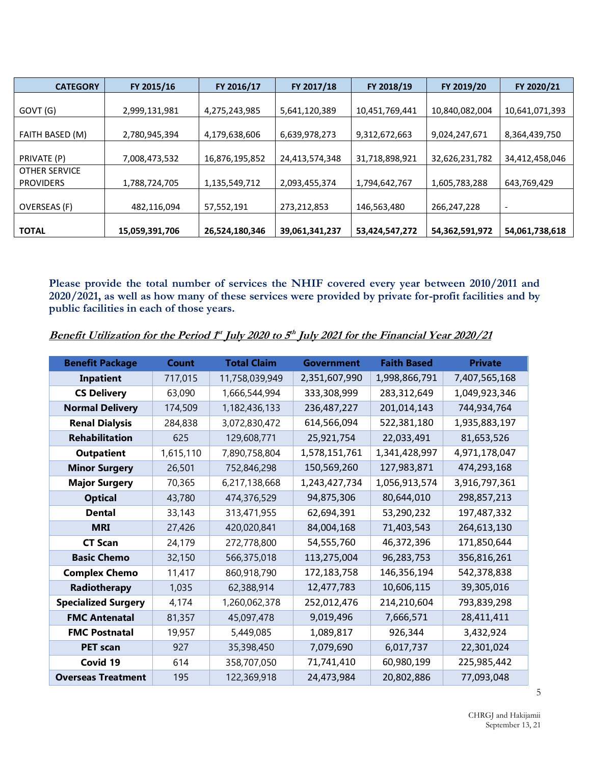| <b>CATEGORY</b>      | FY 2015/16     | FY 2016/17     | FY 2017/18     | FY 2018/19     | FY 2019/20     | FY 2020/21               |
|----------------------|----------------|----------------|----------------|----------------|----------------|--------------------------|
|                      |                |                |                |                |                |                          |
| GOVT (G)             | 2,999,131,981  | 4,275,243,985  | 5,641,120,389  | 10,451,769,441 | 10,840,082,004 | 10,641,071,393           |
|                      |                |                |                |                |                |                          |
| FAITH BASED (M)      | 2,780,945,394  | 4,179,638,606  | 6,639,978,273  | 9,312,672,663  | 9,024,247,671  | 8,364,439,750            |
|                      |                |                |                |                |                |                          |
| PRIVATE (P)          | 7,008,473,532  | 16,876,195,852 | 24,413,574,348 | 31,718,898,921 | 32,626,231,782 | 34,412,458,046           |
| <b>OTHER SERVICE</b> |                |                |                |                |                |                          |
| <b>PROVIDERS</b>     | 1,788,724,705  | 1,135,549,712  | 2,093,455,374  | 1,794,642,767  | 1,605,783,288  | 643,769,429              |
|                      |                |                |                |                |                |                          |
| OVERSEAS (F)         | 482,116,094    | 57,552,191     | 273,212,853    | 146,563,480    | 266,247,228    | $\overline{\phantom{a}}$ |
|                      |                |                |                |                |                |                          |
| <b>TOTAL</b>         | 15,059,391,706 | 26,524,180,346 | 39,061,341,237 | 53,424,547,272 | 54,362,591,972 | 54,061,738,618           |

**Please provide the total number of services the NHIF covered every year between 2010/2011 and 2020/2021, as well as how many of these services were provided by private for-profit facilities and by public facilities in each of those years.** 

|  |  | Benefit Utilization for the Period 1st July 2020 to 5th July 2021 for the Financial Year 2020/21 |  |
|--|--|--------------------------------------------------------------------------------------------------|--|
|  |  |                                                                                                  |  |

| <b>Benefit Package</b>     | <b>Total Claim</b><br><b>Count</b> |                | <b>Government</b> | <b>Faith Based</b> | <b>Private</b> |  |
|----------------------------|------------------------------------|----------------|-------------------|--------------------|----------------|--|
| <b>Inpatient</b>           | 717,015                            | 11,758,039,949 | 2,351,607,990     | 1,998,866,791      | 7,407,565,168  |  |
| <b>CS Delivery</b>         | 63,090                             | 1,666,544,994  | 333,308,999       | 283,312,649        | 1,049,923,346  |  |
| <b>Normal Delivery</b>     | 174,509                            | 1,182,436,133  | 236,487,227       | 201,014,143        | 744,934,764    |  |
| <b>Renal Dialysis</b>      | 284,838                            | 3,072,830,472  | 614,566,094       | 522,381,180        | 1,935,883,197  |  |
| <b>Rehabilitation</b>      | 625                                | 129,608,771    | 25,921,754        | 22,033,491         | 81,653,526     |  |
| <b>Outpatient</b>          | 1,615,110                          | 7,890,758,804  | 1,578,151,761     | 1,341,428,997      | 4,971,178,047  |  |
| <b>Minor Surgery</b>       | 26,501                             | 752,846,298    | 150,569,260       | 127,983,871        | 474,293,168    |  |
| <b>Major Surgery</b>       | 70,365                             | 6,217,138,668  | 1,243,427,734     | 1,056,913,574      | 3,916,797,361  |  |
| <b>Optical</b>             | 43,780                             | 474,376,529    | 94,875,306        | 80,644,010         | 298,857,213    |  |
| <b>Dental</b>              | 33,143                             | 313,471,955    | 62,694,391        | 53,290,232         | 197,487,332    |  |
| <b>MRI</b>                 | 27,426                             | 420,020,841    | 84,004,168        | 71,403,543         | 264,613,130    |  |
| <b>CT Scan</b>             | 24,179                             | 272,778,800    | 54,555,760        | 46,372,396         | 171,850,644    |  |
| <b>Basic Chemo</b>         | 32,150                             | 566,375,018    | 113,275,004       | 96,283,753         | 356,816,261    |  |
| <b>Complex Chemo</b>       | 11,417                             | 860,918,790    | 172,183,758       | 146,356,194        | 542,378,838    |  |
| Radiotherapy               | 1,035                              | 62,388,914     | 12,477,783        | 10,606,115         | 39,305,016     |  |
| <b>Specialized Surgery</b> | 4,174                              | 1,260,062,378  | 252,012,476       | 214,210,604        | 793,839,298    |  |
| <b>FMC Antenatal</b>       | 81,357                             | 45,097,478     | 9,019,496         | 7,666,571          | 28,411,411     |  |
| <b>FMC Postnatal</b>       | 19,957                             | 5,449,085      | 1,089,817         | 926,344            | 3,432,924      |  |
| <b>PET scan</b>            | 927                                | 35,398,450     | 7,079,690         | 6,017,737          | 22,301,024     |  |
| Covid 19                   | 614                                | 358,707,050    | 71,741,410        | 60,980,199         | 225,985,442    |  |
| <b>Overseas Treatment</b>  | 195                                | 122,369,918    | 24,473,984        | 20,802,886         | 77,093,048     |  |

5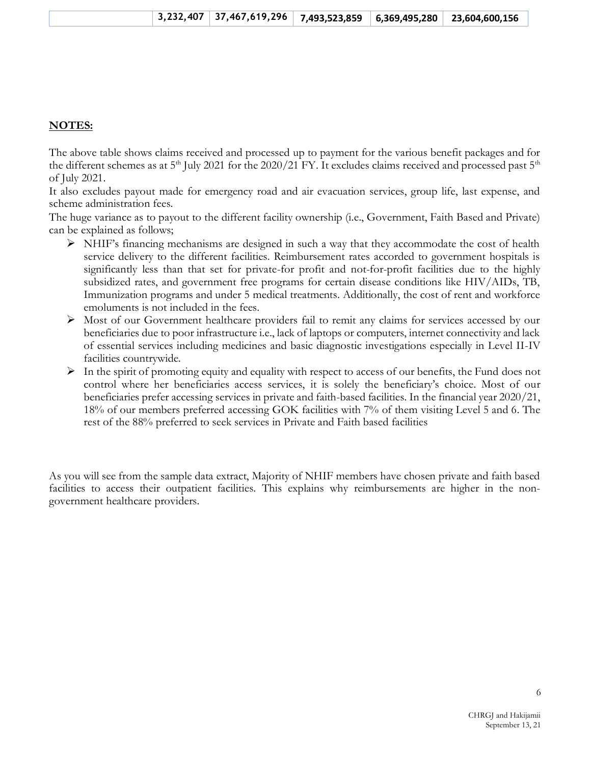### **NOTES:**

The above table shows claims received and processed up to payment for the various benefit packages and for the different schemes as at  $5<sup>th</sup>$  July 2021 for the 2020/21 FY. It excludes claims received and processed past  $5<sup>th</sup>$ of July 2021.

It also excludes payout made for emergency road and air evacuation services, group life, last expense, and scheme administration fees.

The huge variance as to payout to the different facility ownership (i.e., Government, Faith Based and Private) can be explained as follows;

- ➢ NHIF's financing mechanisms are designed in such a way that they accommodate the cost of health service delivery to the different facilities. Reimbursement rates accorded to government hospitals is significantly less than that set for private-for profit and not-for-profit facilities due to the highly subsidized rates, and government free programs for certain disease conditions like HIV/AIDs, TB, Immunization programs and under 5 medical treatments. Additionally, the cost of rent and workforce emoluments is not included in the fees.
- ➢ Most of our Government healthcare providers fail to remit any claims for services accessed by our beneficiaries due to poor infrastructure i.e., lack of laptops or computers, internet connectivity and lack of essential services including medicines and basic diagnostic investigations especially in Level II-IV facilities countrywide.
- $\triangleright$  In the spirit of promoting equity and equality with respect to access of our benefits, the Fund does not control where her beneficiaries access services, it is solely the beneficiary's choice. Most of our beneficiaries prefer accessing services in private and faith-based facilities. In the financial year 2020/21, 18% of our members preferred accessing GOK facilities with 7% of them visiting Level 5 and 6. The rest of the 88% preferred to seek services in Private and Faith based facilities

As you will see from the sample data extract, Majority of NHIF members have chosen private and faith based facilities to access their outpatient facilities. This explains why reimbursements are higher in the nongovernment healthcare providers.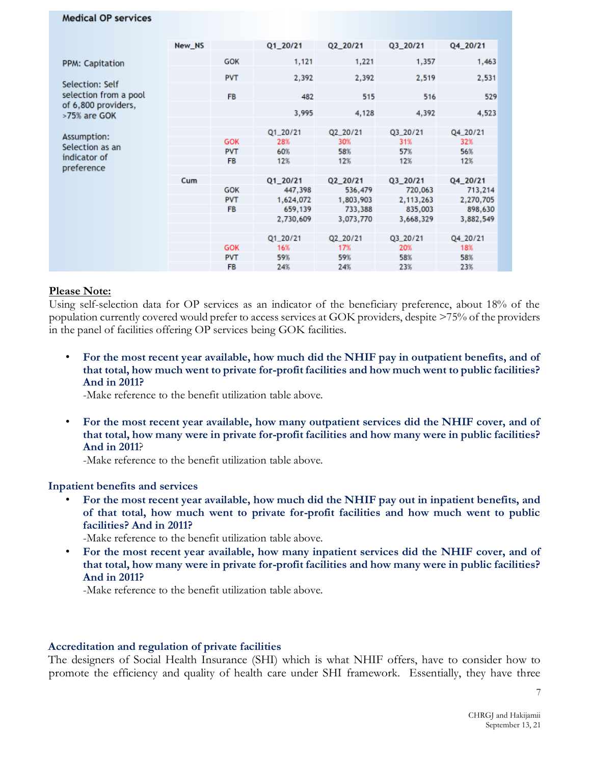#### **Medical OP services**

|                                          | New_NS |            | $Q1_2Q/21$ | Q2_20/21  | Q3_20/21  | Q4_20/21  |
|------------------------------------------|--------|------------|------------|-----------|-----------|-----------|
| PPM: Capitation                          |        | GOK        | 1,121      | 1,221     | 1,357     | 1,463     |
|                                          |        | <b>PVT</b> | 2,392      | 2,392     | 2,519     | 2,531     |
| Selection: Self<br>selection from a pool |        | <b>FB</b>  | 482        | 515       | 516       | 529       |
| of 6,800 providers,<br>>75% are GOK      |        |            | 3,995      | 4,128     | 4,392     | 4,523     |
|                                          |        |            | Q1_20/21   | Q2_20/21  | Q3_20/21  | Q4_20/21  |
| Assumption:                              |        | <b>GOK</b> | 28%        | 30%       | 31%       | 32%       |
| Selection as an                          |        | <b>PVT</b> | 60%        | 58%       | 57%       | 56%       |
| indicator of<br>preference               |        | <b>FB</b>  | 12%        | 12%       | 12%       | 12%       |
|                                          | Cum    |            | Q1_20/21   | Q2_20/21  | Q3_20/21  | Q4_20/21  |
|                                          |        | GOK        | 447,398    | 536,479   | 720,063   | 713,214   |
|                                          |        | <b>PVT</b> | 1,624,072  | 1,803,903 | 2,113,263 | 2,270,705 |
|                                          |        | <b>FB</b>  | 659,139    | 733,388   | 835,003   | 898,630   |
|                                          |        |            | 2,730,609  | 3,073,770 | 3,668,329 | 3,882,549 |
|                                          |        |            |            |           |           |           |
|                                          |        |            | $Q1_2Q/21$ | Q2_20/21  | Q3_20/21  | Q4_20/21  |
|                                          |        | GOK        | 16%        | 17%       | 20%       | 18%       |
|                                          |        | <b>PVT</b> | 59%        | 59%       | 58%       | 58%       |
|                                          |        | <b>FB</b>  | 24%        | 24%       | 23%       | 23%       |

#### **Please Note:**

Using self-selection data for OP services as an indicator of the beneficiary preference, about 18% of the population currently covered would prefer to access services at GOK providers, despite >75% of the providers in the panel of facilities offering OP services being GOK facilities.

• **For the most recent year available, how much did the NHIF pay in outpatient benefits, and of that total, how much went to private for-profit facilities and how much went to public facilities? And in 2011?** 

-Make reference to the benefit utilization table above.

• **For the most recent year available, how many outpatient services did the NHIF cover, and of that total, how many were in private for-profit facilities and how many were in public facilities? And in 2011**?

-Make reference to the benefit utilization table above.

#### **Inpatient benefits and services**

• **For the most recent year available, how much did the NHIF pay out in inpatient benefits, and of that total, how much went to private for-profit facilities and how much went to public facilities? And in 2011?** 

-Make reference to the benefit utilization table above.

• **For the most recent year available, how many inpatient services did the NHIF cover, and of that total, how many were in private for-profit facilities and how many were in public facilities? And in 2011?** 

-Make reference to the benefit utilization table above.

#### **Accreditation and regulation of private facilities**

The designers of Social Health Insurance (SHI) which is what NHIF offers, have to consider how to promote the efficiency and quality of health care under SHI framework. Essentially, they have three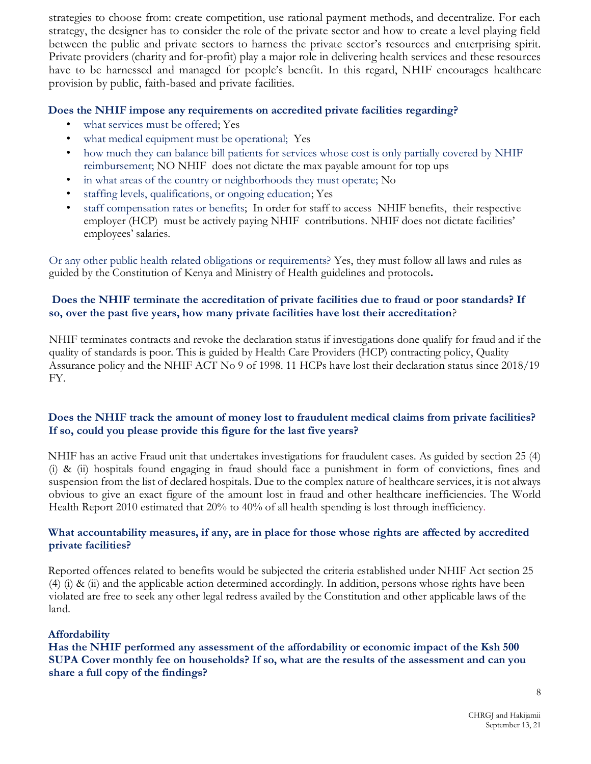strategies to choose from: create competition, use rational payment methods, and decentralize. For each strategy, the designer has to consider the role of the private sector and how to create a level playing field between the public and private sectors to harness the private sector's resources and enterprising spirit. Private providers (charity and for-profit) play a major role in delivering health services and these resources have to be harnessed and managed for people's benefit. In this regard, NHIF encourages healthcare provision by public, faith-based and private facilities.

## **Does the NHIF impose any requirements on accredited private facilities regarding?**

- what services must be offered; Yes
- what medical equipment must be operational; Yes
- how much they can balance bill patients for services whose cost is only partially covered by NHIF reimbursement; NO NHIF does not dictate the max payable amount for top ups
- in what areas of the country or neighborhoods they must operate; No
- staffing levels, qualifications, or ongoing education; Yes
- staff compensation rates or benefits; In order for staff to access NHIF benefits, their respective employer (HCP) must be actively paying NHIF contributions. NHIF does not dictate facilities' employees' salaries.

Or any other public health related obligations or requirements? Yes, they must follow all laws and rules as guided by the Constitution of Kenya and Ministry of Health guidelines and protocols**.** 

# **Does the NHIF terminate the accreditation of private facilities due to fraud or poor standards? If so, over the past five years, how many private facilities have lost their accreditation**?

NHIF terminates contracts and revoke the declaration status if investigations done qualify for fraud and if the quality of standards is poor. This is guided by Health Care Providers (HCP) contracting policy, Quality Assurance policy and the NHIF ACT No 9 of 1998. 11 HCPs have lost their declaration status since 2018/19 FY.

# **Does the NHIF track the amount of money lost to fraudulent medical claims from private facilities? If so, could you please provide this figure for the last five years?**

NHIF has an active Fraud unit that undertakes investigations for fraudulent cases. As guided by section 25 (4) (i) & (ii) hospitals found engaging in fraud should face a punishment in form of convictions, fines and suspension from the list of declared hospitals. Due to the complex nature of healthcare services, it is not always obvious to give an exact figure of the amount lost in fraud and other healthcare inefficiencies. The World Health Report 2010 estimated that 20% to 40% of all health spending is lost through inefficiency.

## **What accountability measures, if any, are in place for those whose rights are affected by accredited private facilities?**

Reported offences related to benefits would be subjected the criteria established under NHIF Act section 25 (4) (i) & (ii) and the applicable action determined accordingly. In addition, persons whose rights have been violated are free to seek any other legal redress availed by the Constitution and other applicable laws of the land.

# **Affordability**

**Has the NHIF performed any assessment of the affordability or economic impact of the Ksh 500 SUPA Cover monthly fee on households? If so, what are the results of the assessment and can you share a full copy of the findings?**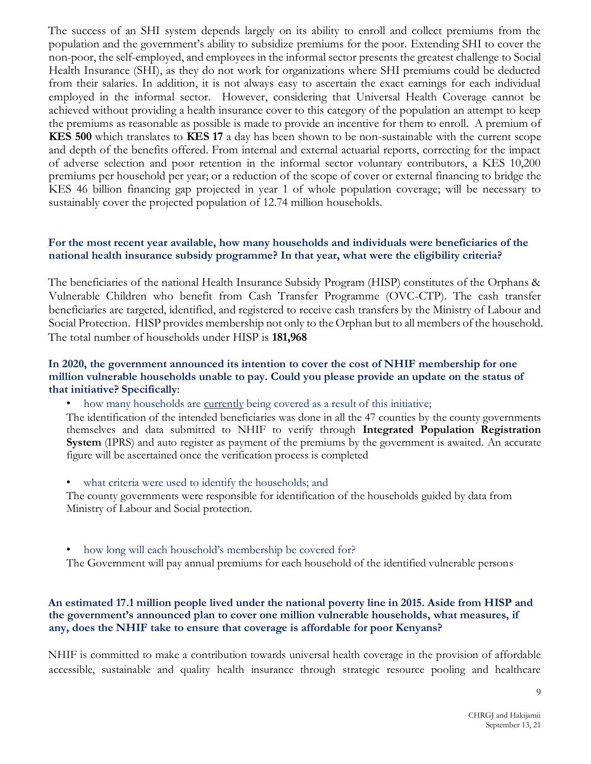The success of an SHI system depends largely on its ability to enroll and collect premiums from the population and the government's ability to subsidize premiums for the poor. Extending SHI to cover the non-poor, the self-employed, and employees in the informal sector presents the greatest challenge to Social Health Insurance (SHI), as they do not work for organizations where SHI premiums could be deducted from their salaries. In addition, it is not always easy to ascertain the exact earnings for each individual employed in the informal sector. However, considering that Universal Health Coverage cannot be achieved without providing a health insurance cover to this category of the population an attempt to keep the premiums as reasonable as possible is made to provide an incentive for them to enroll. A premium of **KES 500** which translates to **KES 17** a day has been shown to be non-sustainable with the current scope and depth of the benefits offered. From internal and external actuarial reports, correcting for the impact of adverse selection and poor retention in the informal sector voluntary contributors, a KES 10,200 premiums per household per year; or a reduction of the scope of cover or external financing to bridge the KES 46 billion financing gap projected in year 1 of whole population coverage; will be necessary to sustainably cover the projected population of 12.74 million households.

## **For the most recent year available, how many households and individuals were beneficiaries of the national health insurance subsidy programme? In that year, what were the eligibility criteria?**

The beneficiaries of the national Health Insurance Subsidy Program (HISP) constitutes of the Orphans & Vulnerable Children who benefit from Cash Transfer Programme (OVC-CTP). The cash transfer beneficiaries are targeted, identified, and registered to receive cash transfers by the Ministry of Labour and Social Protection. HISP provides membership not only to the Orphan but to all members of the household. The total number of households under HISP is **181,968**

## **In 2020, the government announced its intention to cover the cost of NHIF membership for one million vulnerable households unable to pay. Could you please provide an update on the status of that initiative? Specifically**:

• how many households are <u>currently</u> being covered as a result of this initiative;

The identification of the intended beneficiaries was done in all the 47 counties by the county governments themselves and data submitted to NHIF to verify through **Integrated Population Registration System** (IPRS) and auto register as payment of the premiums by the government is awaited*.* An accurate figure will be ascertained once the verification process is completed

what criteria were used to identify the households; and

The county governments were responsible for identification of the households guided by data from Ministry of Labour and Social protection.

• how long will each household's membership be covered for?

The Government will pay annual premiums for each household of the identified vulnerable persons

## **An estimated 17.1 million people lived under the national poverty line in 2015. Aside from HISP and the government's announced plan to cover one million vulnerable households, what measures, if any, does the NHIF take to ensure that coverage is affordable for poor Kenyans?**

NHIF is committed to make a contribution towards universal health coverage in the provision of affordable accessible, sustainable and quality health insurance through strategic resource pooling and healthcare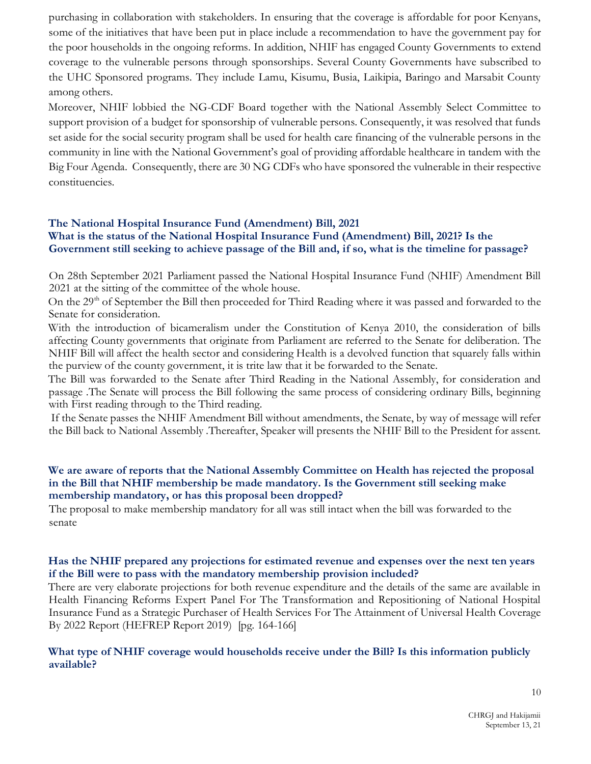purchasing in collaboration with stakeholders. In ensuring that the coverage is affordable for poor Kenyans, some of the initiatives that have been put in place include a recommendation to have the government pay for the poor households in the ongoing reforms. In addition, NHIF has engaged County Governments to extend coverage to the vulnerable persons through sponsorships. Several County Governments have subscribed to the UHC Sponsored programs. They include Lamu, Kisumu, Busia, Laikipia, Baringo and Marsabit County among others.

Moreover, NHIF lobbied the NG-CDF Board together with the National Assembly Select Committee to support provision of a budget for sponsorship of vulnerable persons. Consequently, it was resolved that funds set aside for the social security program shall be used for health care financing of the vulnerable persons in the community in line with the National Government's goal of providing affordable healthcare in tandem with the Big Four Agenda. Consequently, there are 30 NG CDFs who have sponsored the vulnerable in their respective constituencies.

## **The National Hospital Insurance Fund (Amendment) Bill, 2021 What is the status of the National Hospital Insurance Fund (Amendment) Bill, 2021? Is the Government still seeking to achieve passage of the Bill and, if so, what is the timeline for passage?**

On 28th September 2021 Parliament passed the National Hospital Insurance Fund (NHIF) Amendment Bill 2021 at the sitting of the committee of the whole house.

On the 29<sup>th</sup> of September the Bill then proceeded for Third Reading where it was passed and forwarded to the Senate for consideration.

With the introduction of bicameralism under the Constitution of Kenya 2010, the consideration of bills affecting County governments that originate from Parliament are referred to the Senate for deliberation. The NHIF Bill will affect the health sector and considering Health is a devolved function that squarely falls within the purview of the county government, it is trite law that it be forwarded to the Senate.

The Bill was forwarded to the Senate after Third Reading in the National Assembly, for consideration and passage .The Senate will process the Bill following the same process of considering ordinary Bills, beginning with First reading through to the Third reading.

If the Senate passes the NHIF Amendment Bill without amendments, the Senate, by way of message will refer the Bill back to National Assembly .Thereafter, Speaker will presents the NHIF Bill to the President for assent.

## **We are aware of reports that the National Assembly Committee on Health has rejected the proposal in the Bill that NHIF membership be made mandatory. Is the Government still seeking make membership mandatory, or has this proposal been dropped?**

The proposal to make membership mandatory for all was still intact when the bill was forwarded to the senate

### **Has the NHIF prepared any projections for estimated revenue and expenses over the next ten years if the Bill were to pass with the mandatory membership provision included?**

There are very elaborate projections for both revenue expenditure and the details of the same are available in Health Financing Reforms Expert Panel For The Transformation and Repositioning of National Hospital Insurance Fund as a Strategic Purchaser of Health Services For The Attainment of Universal Health Coverage By 2022 Report (HEFREP Report 2019) [pg. 164-166]

### **What type of NHIF coverage would households receive under the Bill? Is this information publicly available?**